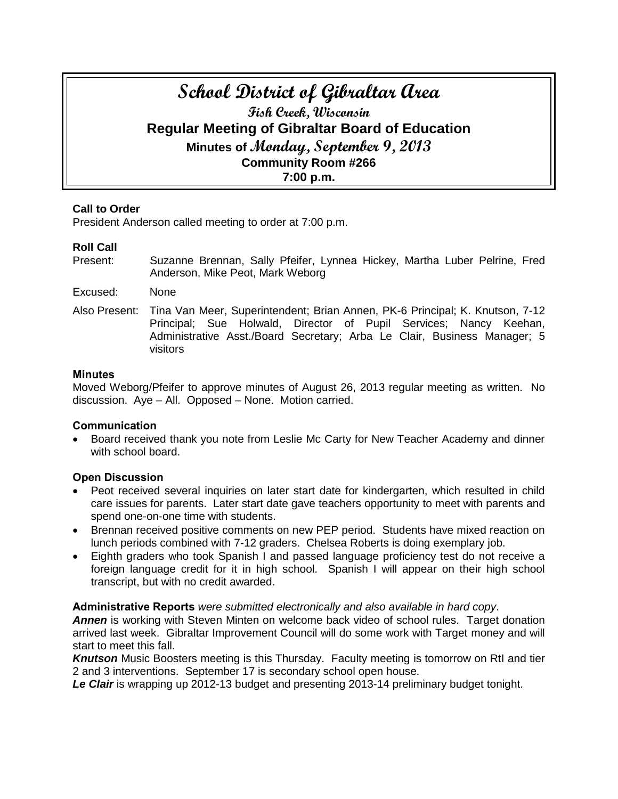# **School District of Gibraltar Area Fish Creek, Wisconsin Regular Meeting of Gibraltar Board of Education Minutes of Monday, September 9, 2013 Community Room #266 7:00 p.m.**

# **Call to Order**

President Anderson called meeting to order at 7:00 p.m.

# **Roll Call**

- Present: Suzanne Brennan, Sally Pfeifer, Lynnea Hickey, Martha Luber Pelrine, Fred Anderson, Mike Peot, Mark Weborg
- Excused: None
- Also Present: Tina Van Meer, Superintendent; Brian Annen, PK-6 Principal; K. Knutson, 7-12 Principal; Sue Holwald, Director of Pupil Services; Nancy Keehan, Administrative Asst./Board Secretary; Arba Le Clair, Business Manager; 5 visitors

### **Minutes**

Moved Weborg/Pfeifer to approve minutes of August 26, 2013 regular meeting as written. No discussion. Aye – All. Opposed – None. Motion carried.

# **Communication**

 Board received thank you note from Leslie Mc Carty for New Teacher Academy and dinner with school board.

# **Open Discussion**

- Peot received several inquiries on later start date for kindergarten, which resulted in child care issues for parents. Later start date gave teachers opportunity to meet with parents and spend one-on-one time with students.
- Brennan received positive comments on new PEP period. Students have mixed reaction on lunch periods combined with 7-12 graders. Chelsea Roberts is doing exemplary job.
- Eighth graders who took Spanish I and passed language proficiency test do not receive a foreign language credit for it in high school. Spanish I will appear on their high school transcript, but with no credit awarded.

# **Administrative Reports** *were submitted electronically and also available in hard copy*.

**Annen** is working with Steven Minten on welcome back video of school rules. Target donation arrived last week. Gibraltar Improvement Council will do some work with Target money and will start to meet this fall.

*Knutson* Music Boosters meeting is this Thursday. Faculty meeting is tomorrow on RtI and tier 2 and 3 interventions. September 17 is secondary school open house.

*Le Clair* is wrapping up 2012-13 budget and presenting 2013-14 preliminary budget tonight.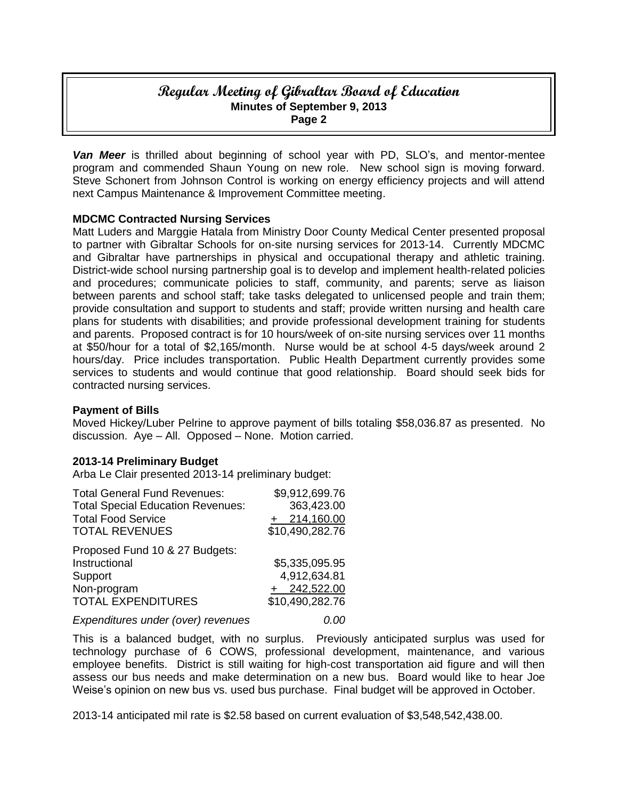# **Regular Meeting of Gibraltar Board of Education Minutes of September 9, 2013 Page 2**

*Van Meer* is thrilled about beginning of school year with PD, SLO's, and mentor-mentee program and commended Shaun Young on new role. New school sign is moving forward. Steve Schonert from Johnson Control is working on energy efficiency projects and will attend next Campus Maintenance & Improvement Committee meeting.

# **MDCMC Contracted Nursing Services**

Matt Luders and Marggie Hatala from Ministry Door County Medical Center presented proposal to partner with Gibraltar Schools for on-site nursing services for 2013-14. Currently MDCMC and Gibraltar have partnerships in physical and occupational therapy and athletic training. District-wide school nursing partnership goal is to develop and implement health-related policies and procedures; communicate policies to staff, community, and parents; serve as liaison between parents and school staff; take tasks delegated to unlicensed people and train them; provide consultation and support to students and staff; provide written nursing and health care plans for students with disabilities; and provide professional development training for students and parents. Proposed contract is for 10 hours/week of on-site nursing services over 11 months at \$50/hour for a total of \$2,165/month. Nurse would be at school 4-5 days/week around 2 hours/day. Price includes transportation. Public Health Department currently provides some services to students and would continue that good relationship. Board should seek bids for contracted nursing services.

# **Payment of Bills**

Moved Hickey/Luber Pelrine to approve payment of bills totaling \$58,036.87 as presented. No discussion. Aye – All. Opposed – None. Motion carried.

# **2013-14 Preliminary Budget**

Arba Le Clair presented 2013-14 preliminary budget:

| <b>Total General Fund Revenues:</b>      | \$9,912,699.76  |
|------------------------------------------|-----------------|
| <b>Total Special Education Revenues:</b> | 363,423.00      |
| <b>Total Food Service</b>                | 214,160.00      |
| <b>TOTAL REVENUES</b>                    | \$10,490,282.76 |
| Proposed Fund 10 & 27 Budgets:           |                 |
| Instructional                            | \$5,335,095.95  |
| Support                                  | 4,912,634.81    |
| Non-program                              | 242,522.00      |
| <b>TOTAL EXPENDITURES</b>                | \$10,490,282.76 |
| Expenditures under (over) revenues       |                 |

This is a balanced budget, with no surplus. Previously anticipated surplus was used for technology purchase of 6 COWS, professional development, maintenance, and various employee benefits. District is still waiting for high-cost transportation aid figure and will then assess our bus needs and make determination on a new bus. Board would like to hear Joe Weise's opinion on new bus vs. used bus purchase. Final budget will be approved in October.

2013-14 anticipated mil rate is \$2.58 based on current evaluation of \$3,548,542,438.00.